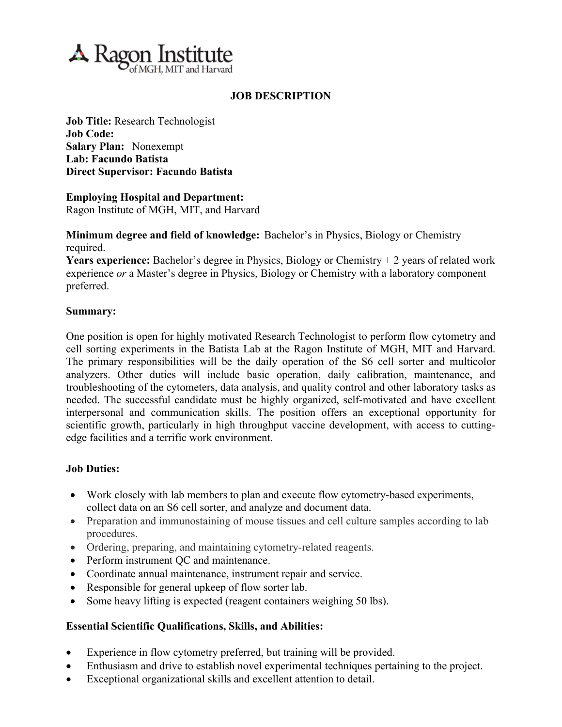

# **JOB DESCRIPTION**

**Job Title:** Research Technologist **Job Code: Salary Plan:** Nonexempt **Lab: Facundo Batista Direct Supervisor: Facundo Batista**

**Employing Hospital and Department:** Ragon Institute of MGH, MIT, and Harvard

**Minimum degree and field of knowledge:** Bachelor's in Physics, Biology or Chemistry required.

**Years experience:** Bachelor's degree in Physics, Biology or Chemistry + 2 years of related work experience *or* a Master's degree in Physics, Biology or Chemistry with a laboratory component preferred.

### **Summary:**

One position is open for highly motivated Research Technologist to perform flow cytometry and cell sorting experiments in the Batista Lab at the Ragon Institute of MGH, MIT and Harvard. The primary responsibilities will be the daily operation of the S6 cell sorter and multicolor analyzers. Other duties will include basic operation, daily calibration, maintenance, and troubleshooting of the cytometers, data analysis, and quality control and other laboratory tasks as needed. The successful candidate must be highly organized, self-motivated and have excellent interpersonal and communication skills. The position offers an exceptional opportunity for scientific growth, particularly in high throughput vaccine development, with access to cuttingedge facilities and a terrific work environment.

### **Job Duties:**

- Work closely with lab members to plan and execute flow cytometry-based experiments, collect data on an S6 cell sorter, and analyze and document data.
- Preparation and immunostaining of mouse tissues and cell culture samples according to lab procedures.
- Ordering, preparing, and maintaining cytometry-related reagents.
- Perform instrument QC and maintenance.
- Coordinate annual maintenance, instrument repair and service.
- Responsible for general upkeep of flow sorter lab.
- Some heavy lifting is expected (reagent containers weighing 50 lbs).

# **Essential Scientific Qualifications, Skills, and Abilities:**

- Experience in flow cytometry preferred, but training will be provided.
- Enthusiasm and drive to establish novel experimental techniques pertaining to the project.
- Exceptional organizational skills and excellent attention to detail.